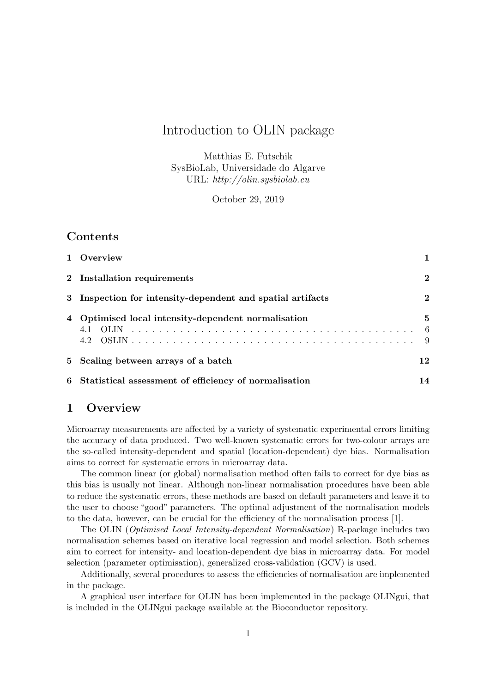# Introduction to OLIN package

Matthias E. Futschik SysBioLab, Universidade do Algarve URL: http://olin.sysbiolab.eu

October 29, 2019

# Contents

| 1 Overview                                                 |             |
|------------------------------------------------------------|-------------|
| 2 Installation requirements                                | $\bf{2}$    |
| 3 Inspection for intensity-dependent and spatial artifacts | $\mathbf 2$ |
| 4 Optimised local intensity-dependent normalisation        | 5           |
| 5 Scaling between arrays of a batch                        | 12          |
| 6 Statistical assessment of efficiency of normalisation    | 14          |

# 1 Overview

Microarray measurements are affected by a variety of systematic experimental errors limiting the accuracy of data produced. Two well-known systematic errors for two-colour arrays are the so-called intensity-dependent and spatial (location-dependent) dye bias. Normalisation aims to correct for systematic errors in microarray data.

The common linear (or global) normalisation method often fails to correct for dye bias as this bias is usually not linear. Although non-linear normalisation procedures have been able to reduce the systematic errors, these methods are based on default parameters and leave it to the user to choose "good" parameters. The optimal adjustment of the normalisation models to the data, however, can be crucial for the efficiency of the normalisation process [1].

The OLIN (Optimised Local Intensity-dependent Normalisation) R-package includes two normalisation schemes based on iterative local regression and model selection. Both schemes aim to correct for intensity- and location-dependent dye bias in microarray data. For model selection (parameter optimisation), generalized cross-validation (GCV) is used.

Additionally, several procedures to assess the efficiencies of normalisation are implemented in the package.

A graphical user interface for OLIN has been implemented in the package OLINgui, that is included in the OLINgui package available at the Bioconductor repository.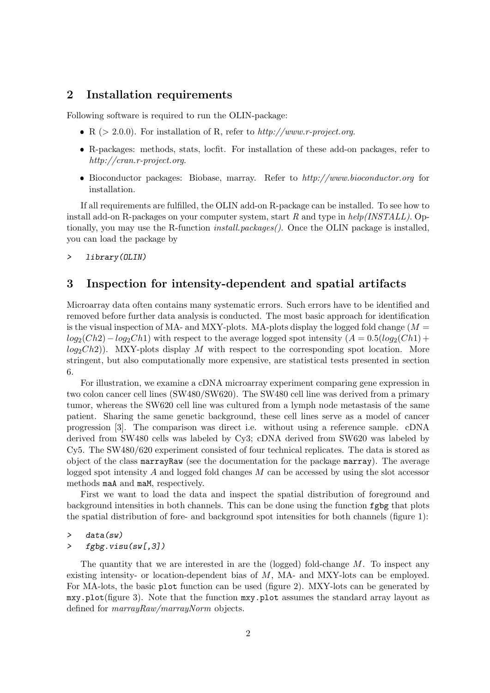## 2 Installation requirements

Following software is required to run the OLIN-package:

- R ( $> 2.0.0$ ). For installation of R, refer to  $http://www.r-project.org$ .
- R-packages: methods, stats, locfit. For installation of these add-on packages, refer to http://cran.r-project.org.
- Bioconductor packages: Biobase, marray. Refer to http://www.bioconductor.org for installation.

If all requirements are fulfilled, the OLIN add-on R-package can be installed. To see how to install add-on R-packages on your computer system, start R and type in  $help/INSTLL$ ). Optionally, you may use the R-function *install.packages()*. Once the OLIN package is installed, you can load the package by

> library(OLIN)

# 3 Inspection for intensity-dependent and spatial artifacts

Microarray data often contains many systematic errors. Such errors have to be identified and removed before further data analysis is conducted. The most basic approach for identification is the visual inspection of MA- and MXY-plots. MA-plots display the logged fold change ( $M =$  $log_2(Ch2)-log_2Ch1)$  with respect to the average logged spot intensity  $(A = 0.5(log_2(Ch1) +$  $log_2Ch2$ )). MXY-plots display M with respect to the corresponding spot location. More stringent, but also computationally more expensive, are statistical tests presented in section 6.

For illustration, we examine a cDNA microarray experiment comparing gene expression in two colon cancer cell lines (SW480/SW620). The SW480 cell line was derived from a primary tumor, whereas the SW620 cell line was cultured from a lymph node metastasis of the same patient. Sharing the same genetic background, these cell lines serve as a model of cancer progression [3]. The comparison was direct i.e. without using a reference sample. cDNA derived from SW480 cells was labeled by Cy3; cDNA derived from SW620 was labeled by Cy5. The SW480/620 experiment consisted of four technical replicates. The data is stored as object of the class marrayRaw (see the documentation for the package marray). The average logged spot intensity A and logged fold changes M can be accessed by using the slot accessor methods maA and maM, respectively.

First we want to load the data and inspect the spatial distribution of foreground and background intensities in both channels. This can be done using the function fgbg that plots the spatial distribution of fore- and background spot intensities for both channels (figure 1):

#### > data(sw)

### > fgbg.visu(sw[,3])

The quantity that we are interested in are the (logged) fold-change  $M$ . To inspect any existing intensity- or location-dependent bias of M, MA- and MXY-lots can be employed. For MA-lots, the basic plot function can be used (figure 2). MXY-lots can be generated by mxy.plot(figure 3). Note that the function mxy.plot assumes the standard array layout as defined for *marrayRaw/marrayNorm* objects.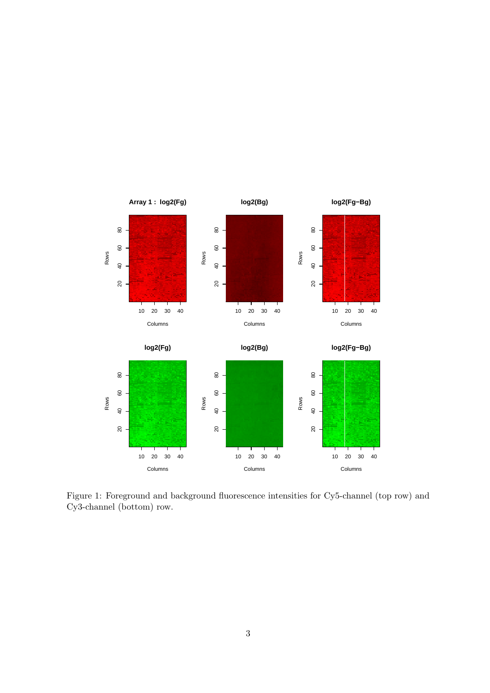

Figure 1: Foreground and background fluorescence intensities for Cy5-channel (top row) and Cy3-channel (bottom) row.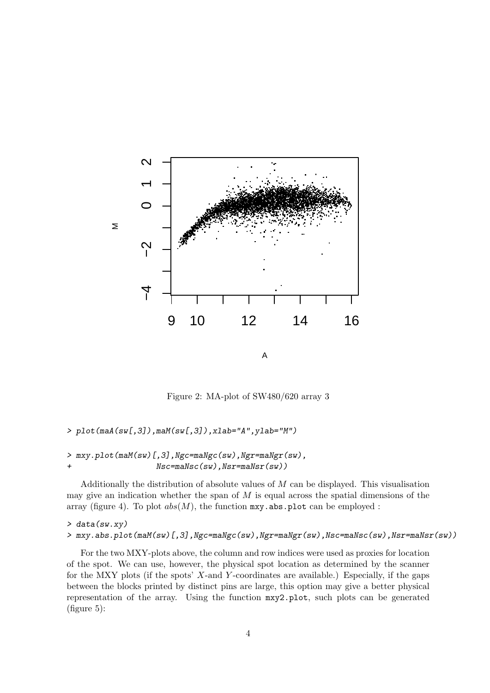

Figure 2: MA-plot of SW480/620 array 3

#### > plot(maA(sw[,3]),maM(sw[,3]),xlab="A",ylab="M")

### > mxy.plot(maM(sw)[,3],Ngc=maNgc(sw),Ngr=maNgr(sw), + Nsc=maNsc(sw),Nsr=maNsr(sw))

Additionally the distribution of absolute values of M can be displayed. This visualisation may give an indication whether the span of  $M$  is equal across the spatial dimensions of the array (figure 4). To plot  $abs(M)$ , the function mxy.abs.plot can be employed :

### > data(sw.xy)

#### > mxy.abs.plot(maM(sw)[,3],Ngc=maNgc(sw),Ngr=maNgr(sw),Nsc=maNsc(sw),Nsr=maNsr(sw))

For the two MXY-plots above, the column and row indices were used as proxies for location of the spot. We can use, however, the physical spot location as determined by the scanner for the MXY plots (if the spots'  $X$ -and  $Y$ -coordinates are available.) Especially, if the gaps between the blocks printed by distinct pins are large, this option may give a better physical representation of the array. Using the function mxy2.plot, such plots can be generated (figure 5):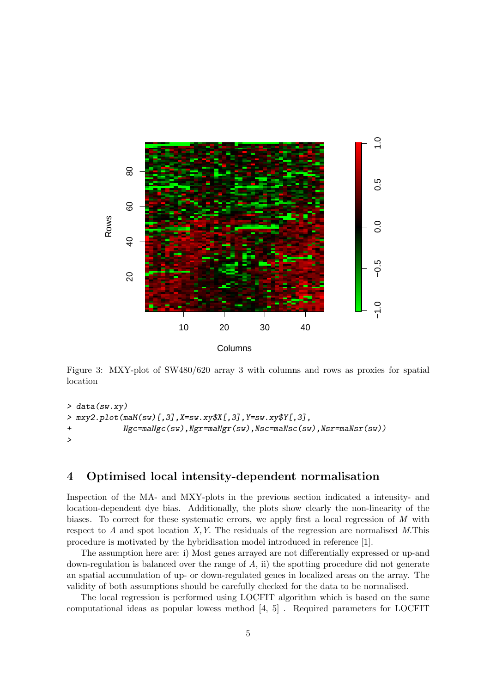

Figure 3: MXY-plot of SW480/620 array 3 with columns and rows as proxies for spatial location

```
> data(sw.xy)
> mxy2.plot(maM(sw)[,3],X=sw.xy$X[,3],Y=sw.xy$Y[,3],
+ Ngc=maNgc(sw),Ngr=maNgr(sw),Nsc=maNsc(sw),Nsr=maNsr(sw))
>
```
## 4 Optimised local intensity-dependent normalisation

Inspection of the MA- and MXY-plots in the previous section indicated a intensity- and location-dependent dye bias. Additionally, the plots show clearly the non-linearity of the biases. To correct for these systematic errors, we apply first a local regression of M with respect to A and spot location  $X, Y$ . The residuals of the regression are normalised M.This procedure is motivated by the hybridisation model introduced in reference [1].

The assumption here are: i) Most genes arrayed are not differentially expressed or up-and down-regulation is balanced over the range of  $A$ , ii) the spotting procedure did not generate an spatial accumulation of up- or down-regulated genes in localized areas on the array. The validity of both assumptions should be carefully checked for the data to be normalised.

The local regression is performed using LOCFIT algorithm which is based on the same computational ideas as popular lowess method [4, 5] . Required parameters for LOCFIT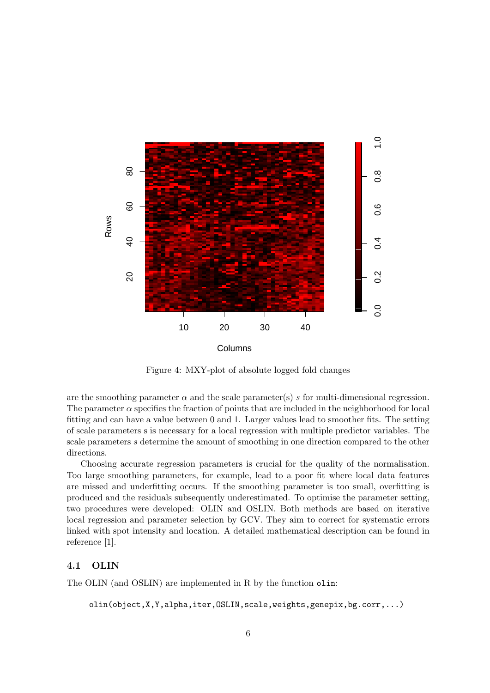

Figure 4: MXY-plot of absolute logged fold changes

are the smoothing parameter  $\alpha$  and the scale parameter(s) s for multi-dimensional regression. The parameter  $\alpha$  specifies the fraction of points that are included in the neighborhood for local fitting and can have a value between 0 and 1. Larger values lead to smoother fits. The setting of scale parameters s is necessary for a local regression with multiple predictor variables. The scale parameters s determine the amount of smoothing in one direction compared to the other directions.

Choosing accurate regression parameters is crucial for the quality of the normalisation. Too large smoothing parameters, for example, lead to a poor fit where local data features are missed and underfitting occurs. If the smoothing parameter is too small, overfitting is produced and the residuals subsequently underestimated. To optimise the parameter setting, two procedures were developed: OLIN and OSLIN. Both methods are based on iterative local regression and parameter selection by GCV. They aim to correct for systematic errors linked with spot intensity and location. A detailed mathematical description can be found in reference [1].

### 4.1 OLIN

The OLIN (and OSLIN) are implemented in R by the function olin:

olin(object,X,Y,alpha,iter,OSLIN,scale,weights,genepix,bg.corr,...)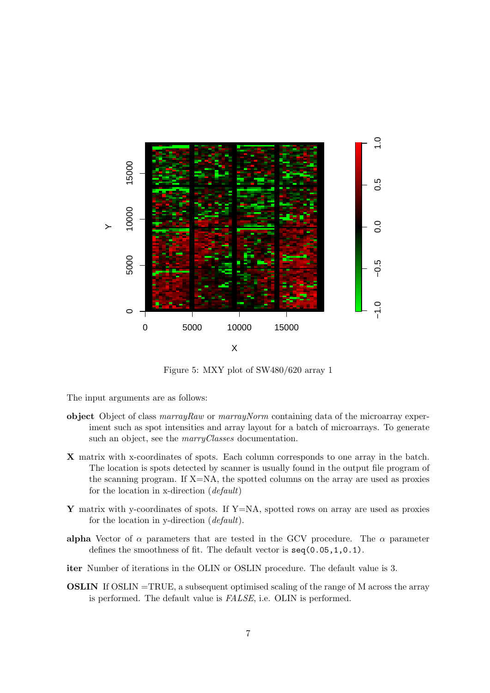

Figure 5: MXY plot of SW480/620 array 1

The input arguments are as follows:

- object Object of class  $\textit{marray}$  or  $\textit{marray}$  containing data of the microarray experiment such as spot intensities and array layout for a batch of microarrays. To generate such an object, see the *marryClasses* documentation.
- X matrix with x-coordinates of spots. Each column corresponds to one array in the batch. The location is spots detected by scanner is usually found in the output file program of the scanning program. If  $X=NA$ , the spotted columns on the array are used as proxies for the location in x-direction (default)
- Y matrix with y-coordinates of spots. If  $Y=NA$ , spotted rows on array are used as proxies for the location in y-direction (default).
- alpha Vector of  $\alpha$  parameters that are tested in the GCV procedure. The  $\alpha$  parameter defines the smoothness of fit. The default vector is seq(0.05,1,0.1).
- iter Number of iterations in the OLIN or OSLIN procedure. The default value is 3.
- OSLIN If OSLIN =TRUE, a subsequent optimised scaling of the range of M across the array is performed. The default value is FALSE, i.e. OLIN is performed.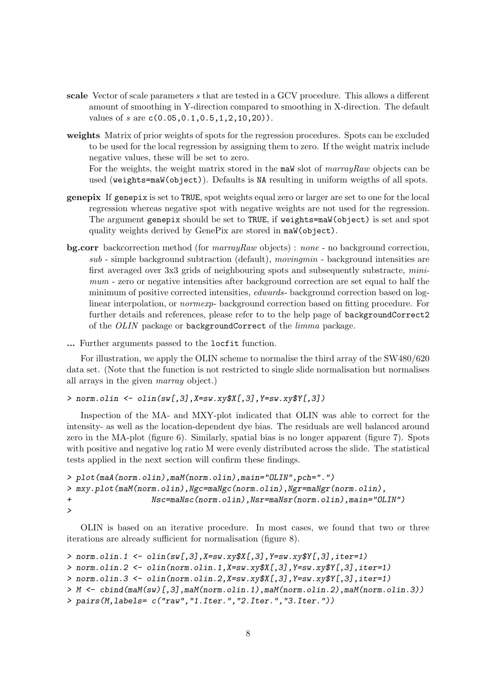- scale Vector of scale parameters s that are tested in a GCV procedure. This allows a different amount of smoothing in Y-direction compared to smoothing in X-direction. The default values of s are  $c(0.05, 0.1, 0.5, 1, 2, 10, 20)$ .
- weights Matrix of prior weights of spots for the regression procedures. Spots can be excluded to be used for the local regression by assigning them to zero. If the weight matrix include negative values, these will be set to zero. For the weights, the weight matrix stored in the maW slot of marrayRaw objects can be

used (weights=maW(object)). Defaults is NA resulting in uniform weigths of all spots.

- genepix If genepix is set to TRUE, spot weights equal zero or larger are set to one for the local regression whereas negative spot with negative weights are not used for the regression. The argument genepix should be set to TRUE, if weights=maW(object) is set and spot quality weights derived by GenePix are stored in maW(object).
- bg.corr backcorrection method (for marrayRaw objects) : none no background correction,  $sub$  - simple background subtraction (default), moving min - background intensities are first averaged over 3x3 grids of neighbouring spots and subsequently substracte, minimum - zero or negative intensities after background correction are set equal to half the minimum of positive corrected intensities, edwards- background correction based on loglinear interpolation, or normexp- background correction based on fitting procedure. For further details and references, please refer to to the help page of backgroundCorrect2 of the OLIN package or backgroundCorrect of the limma package.
- ... Further arguments passed to the locfit function.

For illustration, we apply the OLIN scheme to normalise the third array of the SW480/620 data set. (Note that the function is not restricted to single slide normalisation but normalises all arrays in the given marray object.)

> norm.olin <- olin(sw[,3],X=sw.xy\$X[,3],Y=sw.xy\$Y[,3])

Inspection of the MA- and MXY-plot indicated that OLIN was able to correct for the intensity- as well as the location-dependent dye bias. The residuals are well balanced around zero in the MA-plot (figure 6). Similarly, spatial bias is no longer apparent (figure 7). Spots with positive and negative log ratio M were evenly distributed across the slide. The statistical tests applied in the next section will confirm these findings.

```
> plot(maA(norm.olin),maM(norm.olin),main="OLIN",pch=".")
> mxy.plot(maM(norm.olin),Ngc=maNgc(norm.olin),Ngr=maNgr(norm.olin),
+ Nsc=maNsc(norm.olin),Nsr=maNsr(norm.olin),main="OLIN")
>
```
OLIN is based on an iterative procedure. In most cases, we found that two or three iterations are already sufficient for normalisation (figure 8).

```
> norm.olin.1 <- olin(sw[,3],X=sw.xy$X[,3],Y=sw.xy$Y[,3],iter=1)
> norm.olin.2 \le olin(norm.olin.1,X=sw.xy$X[,3],Y=sw.xy$Y[,3],iter=1)
> norm.olin.3 <- olin(norm.olin.2,X=sw.xy$X[,3],Y=sw.xy$Y[,3],iter=1)
> M <- cbind(maM(sw)[,3],maM(norm.olin.1),maM(norm.olin.2),maM(norm.olin.3))
> pairs(M,labels= c("raw","1.Iter.","2.Iter.","3.Iter."))
```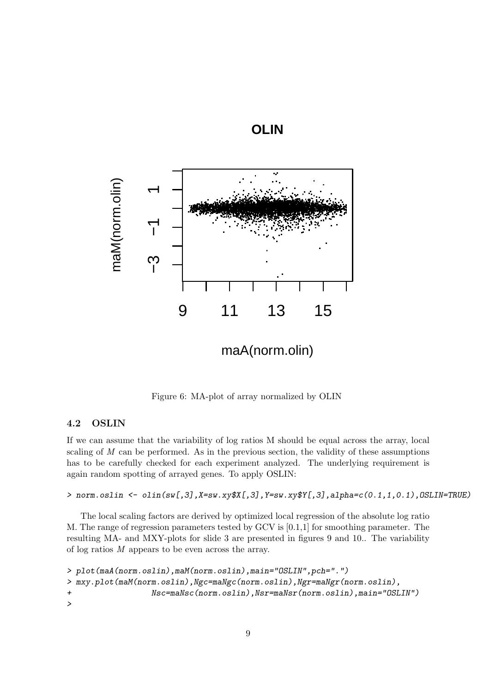

maA(norm.olin)

**OLIN**

Figure 6: MA-plot of array normalized by OLIN

## 4.2 OSLIN

If we can assume that the variability of log ratios M should be equal across the array, local scaling of  $M$  can be performed. As in the previous section, the validity of these assumptions has to be carefully checked for each experiment analyzed. The underlying requirement is again random spotting of arrayed genes. To apply OSLIN:

### > norm.oslin <- olin(sw[,3],X=sw.xy\$X[,3],Y=sw.xy\$Y[,3],alpha=c(0.1,1,0.1),OSLIN=TRUE)

The local scaling factors are derived by optimized local regression of the absolute log ratio M. The range of regression parameters tested by GCV is [0.1,1] for smoothing parameter. The resulting MA- and MXY-plots for slide 3 are presented in figures 9 and 10.. The variability of log ratios M appears to be even across the array.

```
> plot(maA(norm.oslin),maM(norm.oslin),main="OSLIN",pch=".")
> mxy.plot(maM(norm.oslin),Ngc=maNgc(norm.oslin),Ngr=maNgr(norm.oslin),
+ Nsc=maNsc(norm.oslin),Nsr=maNsr(norm.oslin),main="OSLIN")
>
```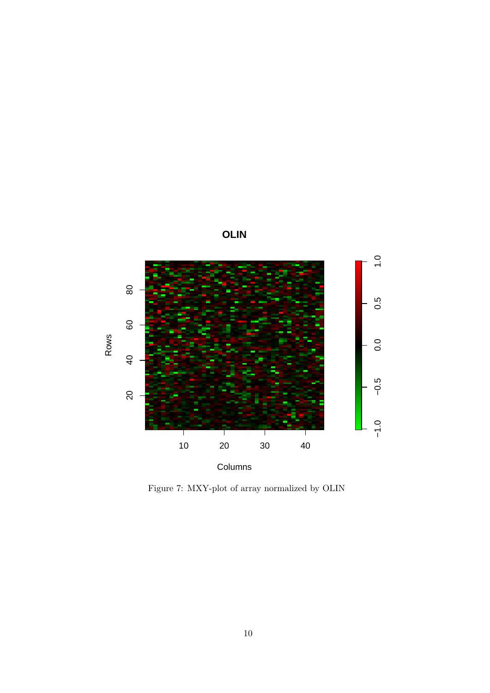

Figure 7: MXY-plot of array normalized by OLIN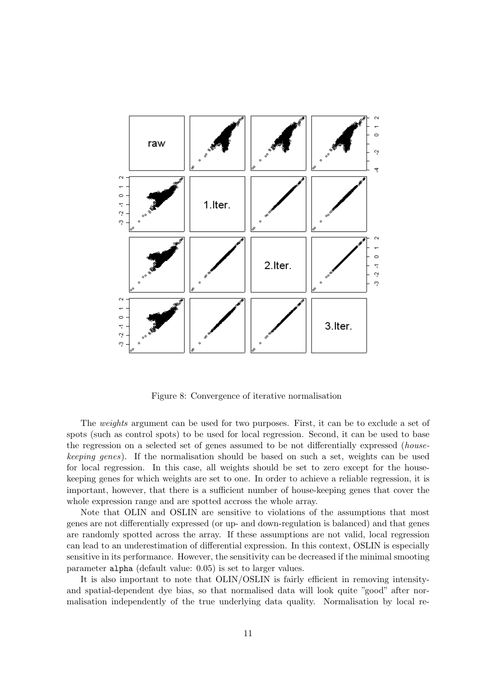

Figure 8: Convergence of iterative normalisation

The *weights* argument can be used for two purposes. First, it can be to exclude a set of spots (such as control spots) to be used for local regression. Second, it can be used to base the regression on a selected set of genes assumed to be not differentially expressed (housekeeping genes). If the normalisation should be based on such a set, weights can be used for local regression. In this case, all weights should be set to zero except for the housekeeping genes for which weights are set to one. In order to achieve a reliable regression, it is important, however, that there is a sufficient number of house-keeping genes that cover the whole expression range and are spotted accross the whole array.

Note that OLIN and OSLIN are sensitive to violations of the assumptions that most genes are not differentially expressed (or up- and down-regulation is balanced) and that genes are randomly spotted across the array. If these assumptions are not valid, local regression can lead to an underestimation of differential expression. In this context, OSLIN is especially sensitive in its performance. However, the sensitivity can be decreased if the minimal smooting parameter alpha (default value: 0.05) is set to larger values.

It is also important to note that OLIN/OSLIN is fairly efficient in removing intensityand spatial-dependent dye bias, so that normalised data will look quite "good" after normalisation independently of the true underlying data quality. Normalisation by local re-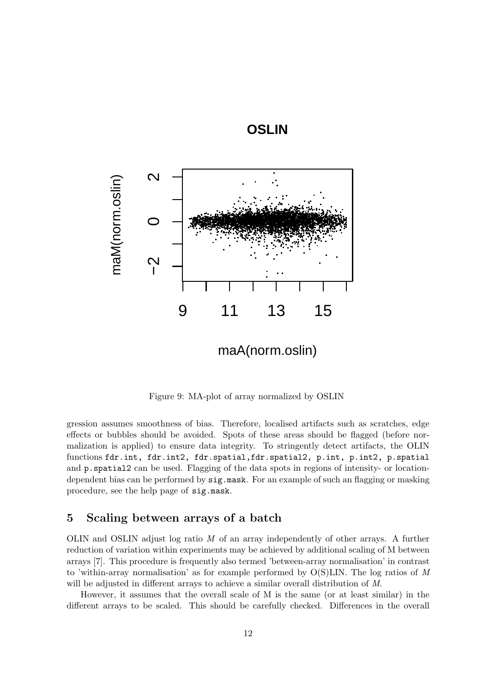



Figure 9: MA-plot of array normalized by OSLIN

gression assumes smoothness of bias. Therefore, localised artifacts such as scratches, edge effects or bubbles should be avoided. Spots of these areas should be flagged (before normalization is applied) to ensure data integrity. To stringently detect artifacts, the OLIN functions fdr.int, fdr.int2, fdr.spatial,fdr.spatial2, p.int, p.int2, p.spatial and p.spatial2 can be used. Flagging of the data spots in regions of intensity- or locationdependent bias can be performed by  $sig \text{.mask}$ . For an example of such an flagging or masking procedure, see the help page of sig.mask.

# 5 Scaling between arrays of a batch

OLIN and OSLIN adjust log ratio  $M$  of an array independently of other arrays. A further reduction of variation within experiments may be achieved by additional scaling of M between arrays [7]. This procedure is frequently also termed 'between-array normalisation' in contrast to 'within-array normalisation' as for example performed by  $O(S)$ LIN. The log ratios of M will be adjusted in different arrays to achieve a similar overall distribution of M.

However, it assumes that the overall scale of M is the same (or at least similar) in the different arrays to be scaled. This should be carefully checked. Differences in the overall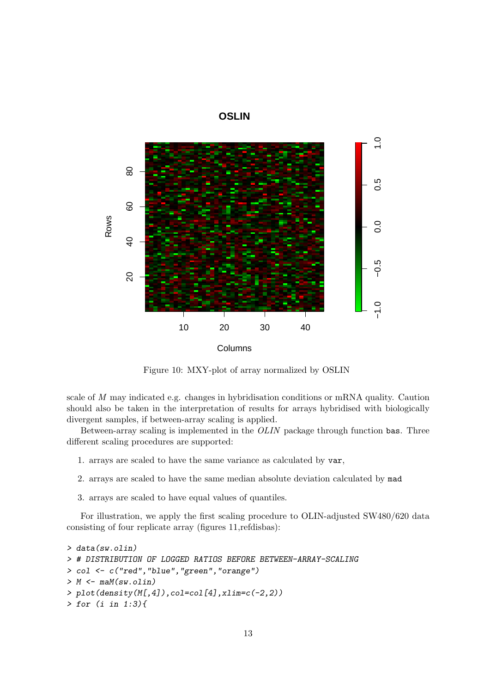



Figure 10: MXY-plot of array normalized by OSLIN

scale of M may indicated e.g. changes in hybridisation conditions or mRNA quality. Caution should also be taken in the interpretation of results for arrays hybridised with biologically divergent samples, if between-array scaling is applied.

Between-array scaling is implemented in the OLIN package through function bas. Three different scaling procedures are supported:

- 1. arrays are scaled to have the same variance as calculated by var,
- 2. arrays are scaled to have the same median absolute deviation calculated by mad
- 3. arrays are scaled to have equal values of quantiles.

For illustration, we apply the first scaling procedure to OLIN-adjusted SW480/620 data consisting of four replicate array (figures 11,refdisbas):

```
> data(sw.olin)
> # DISTRIBUTION OF LOGGED RATIOS BEFORE BETWEEN-ARRAY-SCALING
> col <- c("red","blue","green","orange")
> M \leftarrow \text{maM}(\text{sw. olin})> plot(density(M[,4]),col=col[4],xlim=c(-2,2))
> for (i in 1:3){
```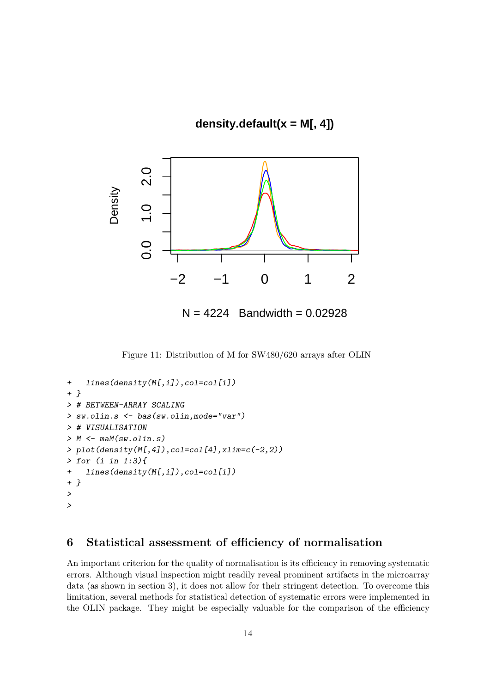**density.default(x = M[, 4])**



Figure 11: Distribution of M for SW480/620 arrays after OLIN

```
+ lines(density(M[,i]),col=col[i])
+ }
> # BETWEEN-ARRAY SCALING
> sw.olin.s <- bas(sw.olin,mode="var")
> # VISUALISATION
> M \leq - maM(sw.olin.s)> plot(density(M[,4]),col=col[4],xlim=c(-2,2))
> for (i in 1:3){
+ lines(density(M[,i]),col=col[i])
+ }
>
>
```
# 6 Statistical assessment of efficiency of normalisation

An important criterion for the quality of normalisation is its efficiency in removing systematic errors. Although visual inspection might readily reveal prominent artifacts in the microarray data (as shown in section 3), it does not allow for their stringent detection. To overcome this limitation, several methods for statistical detection of systematic errors were implemented in the OLIN package. They might be especially valuable for the comparison of the efficiency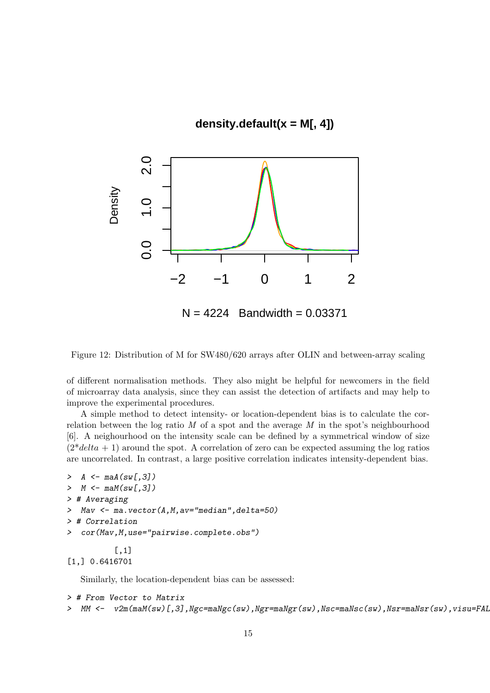# **density.default(x = M[, 4])**



Figure 12: Distribution of M for SW480/620 arrays after OLIN and between-array scaling

of different normalisation methods. They also might be helpful for newcomers in the field of microarray data analysis, since they can assist the detection of artifacts and may help to improve the experimental procedures.

A simple method to detect intensity- or location-dependent bias is to calculate the correlation between the log ratio  $M$  of a spot and the average  $M$  in the spot's neighbourhood [6]. A neighourhood on the intensity scale can be defined by a symmetrical window of size  $(2^*delta + 1)$  around the spot. A correlation of zero can be expected assuming the log ratios are uncorrelated. In contrast, a large positive correlation indicates intensity-dependent bias.

```
> A \leftarrow \text{maA}(\text{sw}[,3])> M \leftarrow \text{maM}(\text{sw}[,3])> # Averaging
> Mav <- ma.vector(A,M,av="median",delta=50)
> # Correlation
> cor(Mav,M,use="pairwise.complete.obs")
            [,1]
```
[1,] 0.6416701

Similarly, the location-dependent bias can be assessed:

```
> # From Vector to Matrix
> MM <- v2m(maM(sw)[,3],Ngc=maNgc(sw),Ngr=maNgr(sw),Nsc=maNsc(sw),Nsr=maNsr(sw),visu=FAL
```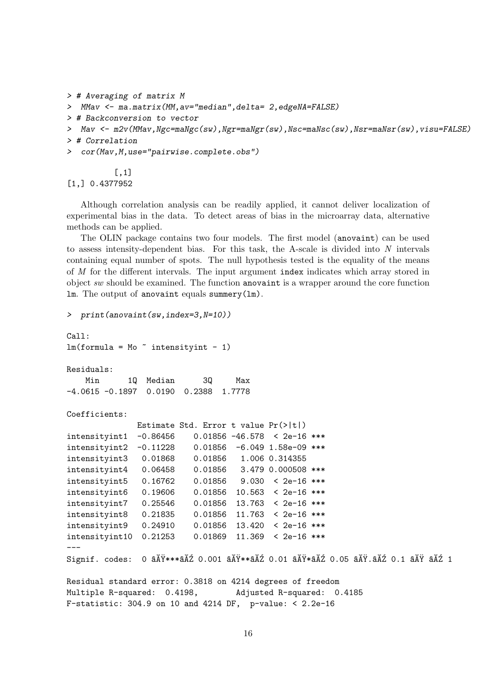```
> # Averaging of matrix M
> MMav <- ma.matrix(MM,av="median",delta= 2,edgeNA=FALSE)
> # Backconversion to vector
> Mav <- m2v(MMav,Ngc=maNgc(sw),Ngr=maNgr(sw),Nsc=maNsc(sw),Nsr=maNsr(sw),visu=FALSE)
> # Correlation
> cor(Mav,M,use="pairwise.complete.obs")
          [,1]
```

```
[1,] 0.4377952
```
Although correlation analysis can be readily applied, it cannot deliver localization of experimental bias in the data. To detect areas of bias in the microarray data, alternative methods can be applied.

The OLIN package contains two four models. The first model (anovaint) can be used to assess intensity-dependent bias. For this task, the A-scale is divided into N intervals containing equal number of spots. The null hypothesis tested is the equality of the means of M for the different intervals. The input argument index indicates which array stored in object sw should be examined. The function anovaint is a wrapper around the core function lm. The output of anovaint equals summery(lm).

```
> print(anovaint(sw,index=3,N=10))
```

```
Call:
lm(formula = Mo \tilde{m} intensityint - 1)
Residuals:
    Min 1Q Median 3Q Max
-4.0615 -0.1897 0.0190 0.2388 1.7778
Coefficients:
               Estimate Std. Error t value Pr(>|t|)
intensityint1 -0.86456 0.01856 -46.578 < 2e-16 ***
intensityint2 -0.11228 0.01856 -6.049 1.58e-09 ***
intensityint3 0.01868 0.01856 1.006 0.314355
intensityint4 0.06458 0.01856 3.479 0.000508 ***
intensityint5 0.16762 0.01856 9.030 < 2e-16 ***
intensityint6 0.19606 0.01856 10.563 < 2e-16 ***
intensityint7 0.25546 0.01856 13.763 < 2e-16 ***
intensityint8 0.21835 0.01856 11.763 < 2e-16 ***
intensityint9 0.24910 0.01856 13.420 < 2e-16 ***
intensityint10 0.21253 0.01869 11.369 < 2e-16 ***
---
Signif. codes: 0 \tilde{a}AŸ***\tilde{a}A\tilde{Z} 0.001 \tilde{a}A\tilde{Y}**\tilde{a}A\tilde{Z} 0.05 \tilde{a}A\tilde{Y}.\tilde{a}A\tilde{Z} 1 \tilde{A} \tilde{Z} 1
Residual standard error: 0.3818 on 4214 degrees of freedom
Multiple R-squared: 0.4198, Adjusted R-squared: 0.4185
F-statistic: 304.9 on 10 and 4214 DF, p-value: < 2.2e-16
```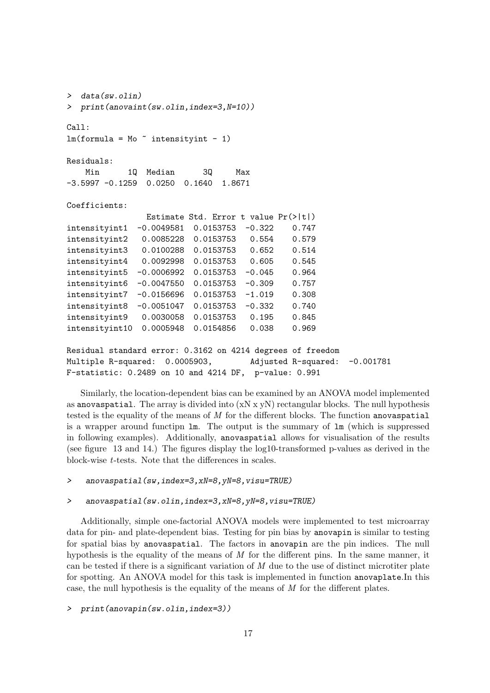```
> data(sw.olin)
> print(anovaint(sw.olin,index=3,N=10))
C<sub>a</sub>11:
lm(formula = Mo \tilde{m} intensityint - 1)
Residuals:
   Min 1Q Median 3Q Max
-3.5997 -0.1259 0.0250 0.1640 1.8671
Coefficients:
               Estimate Std. Error t value Pr(>|t|)
intensityint1 -0.0049581 0.0153753 -0.322 0.747
intensityint2 0.0085228 0.0153753 0.554 0.579
intensityint3 0.0100288 0.0153753 0.652 0.514
intensityint4 0.0092998 0.0153753 0.605 0.545
intensityint5 -0.0006992 0.0153753 -0.045 0.964
intensityint6 -0.0047550 0.0153753 -0.309 0.757
intensityint7 -0.0156696 0.0153753 -1.019 0.308
intensityint8 -0.0051047 0.0153753 -0.332 0.740
intensityint9 0.0030058 0.0153753 0.195 0.845
intensityint10 0.0005948 0.0154856 0.038 0.969
Residual standard error: 0.3162 on 4214 degrees of freedom
Multiple R-squared: 0.0005903, Adjusted R-squared: -0.001781
F-statistic: 0.2489 on 10 and 4214 DF, p-value: 0.991
```
Similarly, the location-dependent bias can be examined by an ANOVA model implemented as anovaspatial. The array is divided into  $(xN \times yN)$  rectangular blocks. The null hypothesis tested is the equality of the means of M for the different blocks. The function anovaspatial is a wrapper around functipn  $\text{Im}$ . The output is the summary of  $\text{Im}$  (which is suppressed in following examples). Additionally, anovaspatial allows for visualisation of the results (see figure 13 and 14.) The figures display the log10-transformed p-values as derived in the block-wise t-tests. Note that the differences in scales.

> anovaspatial(sw,index=3,xN=8,yN=8,visu=TRUE)

#### > anovaspatial(sw.olin,index=3,xN=8,yN=8,visu=TRUE)

Additionally, simple one-factorial ANOVA models were implemented to test microarray data for pin- and plate-dependent bias. Testing for pin bias by anovapin is similar to testing for spatial bias by anovaspatial. The factors in anovapin are the pin indices. The null hypothesis is the equality of the means of  $M$  for the different pins. In the same manner, it can be tested if there is a significant variation of  $M$  due to the use of distinct microtiter plate for spotting. An ANOVA model for this task is implemented in function anovaplate.In this case, the null hypothesis is the equality of the means of  $M$  for the different plates.

> print(anovapin(sw.olin,index=3))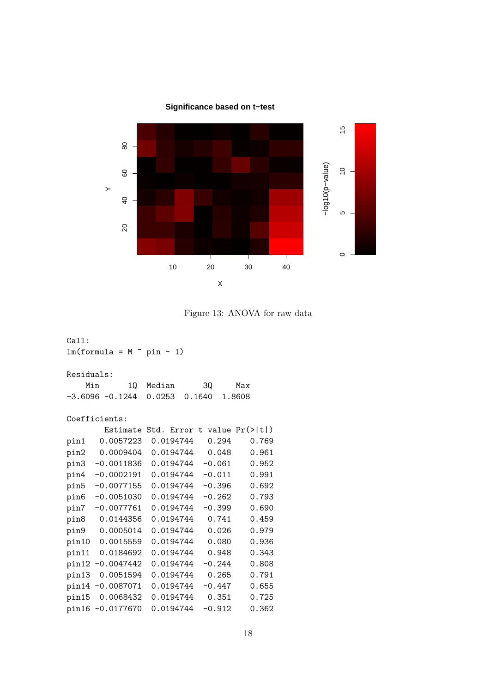# **Significance based on t−test**



Figure 13: ANOVA for raw data

| Call:                          |                    |                                         |          |        |  |  |  |
|--------------------------------|--------------------|-----------------------------------------|----------|--------|--|--|--|
| $lm(formula = M \sim pin - 1)$ |                    |                                         |          |        |  |  |  |
|                                |                    |                                         |          |        |  |  |  |
| Residuals:                     |                    |                                         |          |        |  |  |  |
| Min                            | 10                 | Median                                  | 30       | Max    |  |  |  |
|                                | $-3.6096 - 0.1244$ | 0.0253                                  | 0.1640   | 1.8608 |  |  |  |
| Coefficients:                  |                    |                                         |          |        |  |  |  |
|                                | Estimate           | Std. Error t value $Pr(>\vert t \vert)$ |          |        |  |  |  |
| pin1                           | 0.0057223          | 0.0194744                               | 0.294    | 0.769  |  |  |  |
| pin2                           | 0.0009404          | 0.0194744                               | 0.048    | 0.961  |  |  |  |
| pin3                           | $-0.0011836$       | 0.0194744                               | $-0.061$ | 0.952  |  |  |  |
| pin4                           | $-0.0002191$       | 0.0194744                               | $-0.011$ | 0.991  |  |  |  |
| pin5                           | $-0.0077155$       | 0.0194744                               | $-0.396$ | 0.692  |  |  |  |
| pin6                           | $-0.0051030$       | 0.0194744                               | $-0.262$ | 0.793  |  |  |  |
| pin7                           | $-0.0077761$       | 0.0194744                               | $-0.399$ | 0.690  |  |  |  |
| pin8                           | 0.0144356          | 0.0194744                               | 0.741    | 0.459  |  |  |  |
|                                | pin9 0.0005014     | 0.0194744                               | 0.026    | 0.979  |  |  |  |
|                                | pin10 0.0015559    | 0.0194744                               | 0.080    | 0.936  |  |  |  |
| pin11                          | 0.0184692          | 0.0194744                               | 0.948    | 0.343  |  |  |  |
|                                | pin12 -0.0047442   | 0.0194744                               | $-0.244$ | 0.808  |  |  |  |
| pin13                          | 0.0051594          | 0.0194744                               | 0.265    | 0.791  |  |  |  |
| pin14                          | $-0.0087071$       | 0.0194744                               | $-0.447$ | 0.655  |  |  |  |
| pin15                          | 0.0068432          | 0.0194744                               | 0.351    | 0.725  |  |  |  |
|                                | pin16 -0.0177670   | 0.0194744                               | $-0.912$ | 0.362  |  |  |  |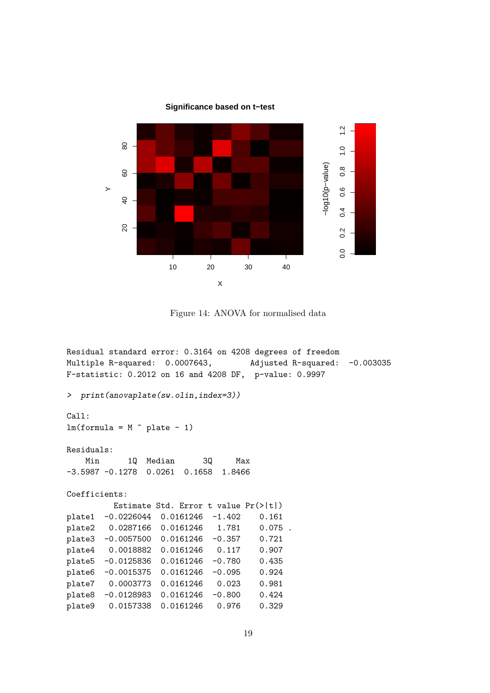

10 20 30 40

X

**Significance based on t−test**

```
Figure 14: ANOVA for normalised data
```

```
Residual standard error: 0.3164 on 4208 degrees of freedom
Multiple R-squared: 0.0007643, Adjusted R-squared: -0.003035
F-statistic: 0.2012 on 16 and 4208 DF, p-value: 0.9997
> print(anovaplate(sw.olin,index=3))
Call:
lm(formula = M \sim plane - 1)Residuals:
   Min 1Q Median 3Q Max
-3.5987 -0.1278 0.0261 0.1658 1.8466
Coefficients:
         Estimate Std. Error t value Pr(>|t|)
plate1 -0.0226044 0.0161246 -1.402 0.161
plate2 0.0287166 0.0161246 1.781 0.075 .
plate3 -0.0057500 0.0161246 -0.357 0.721
plate4 0.0018882 0.0161246 0.117 0.907
plate5 -0.0125836 0.0161246 -0.780 0.435
plate6 -0.0015375 0.0161246 -0.095 0.924
plate7 0.0003773 0.0161246 0.023 0.981
plate8 -0.0128983 0.0161246 -0.800 0.424
plate9 0.0157338 0.0161246 0.976 0.329
```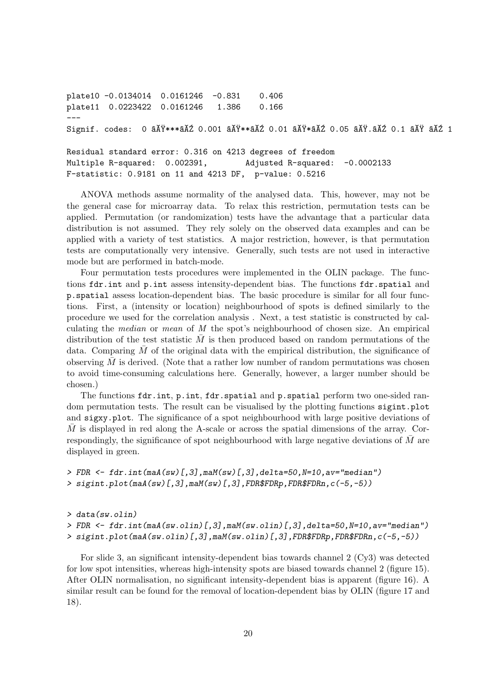plate10 -0.0134014 0.0161246 -0.831 0.406 plate11 0.0223422 0.0161246 1.386 0.166 --- Signif. codes: 0  $\tilde{a}A\tilde{Y}***\tilde{a}\tilde{A}\tilde{Z}$  0.001  $\tilde{a}A\tilde{Y}**\tilde{a}\tilde{A}\tilde{Z}$  0.01  $\tilde{a}A\tilde{Y}$ . $\tilde{a}A\tilde{Z}$  0.1  $\tilde{a}A\tilde{Y}$   $\tilde{a}A\tilde{Z}$  1 Residual standard error: 0.316 on 4213 degrees of freedom

Multiple R-squared: 0.002391, Adjusted R-squared: -0.0002133 F-statistic: 0.9181 on 11 and 4213 DF, p-value: 0.5216

ANOVA methods assume normality of the analysed data. This, however, may not be the general case for microarray data. To relax this restriction, permutation tests can be applied. Permutation (or randomization) tests have the advantage that a particular data distribution is not assumed. They rely solely on the observed data examples and can be applied with a variety of test statistics. A major restriction, however, is that permutation tests are computationally very intensive. Generally, such tests are not used in interactive mode but are performed in batch-mode.

Four permutation tests procedures were implemented in the OLIN package. The functions fdr.int and p.int assess intensity-dependent bias. The functions fdr.spatial and p.spatial assess location-dependent bias. The basic procedure is similar for all four functions. First, a (intensity or location) neighbourhood of spots is defined similarly to the procedure we used for the correlation analysis . Next, a test statistic is constructed by calculating the median or mean of M the spot's neighbourhood of chosen size. An empirical distribution of the test statistic  $\overline{M}$  is then produced based on random permutations of the data. Comparing  $M$  of the original data with the empirical distribution, the significance of observing  $M$  is derived. (Note that a rather low number of random permutations was chosen to avoid time-consuming calculations here. Generally, however, a larger number should be chosen.)

The functions fdr.int, p.int, fdr.spatial and p.spatial perform two one-sided random permutation tests. The result can be visualised by the plotting functions sigint.plot and sigxy.plot. The significance of a spot neighbourhood with large positive deviations of  $M$  is displayed in red along the A-scale or across the spatial dimensions of the array. Correspondingly, the significance of spot neighbourhood with large negative deviations of  $M$  are displayed in green.

```
> FDR \leftarrow fdr.int(maA(sw)[,3],maM(sw)[,3],delta=50,N=10,av="median")
> sigint.plot(maA(sw)[,3],maM(sw)[,3],FDR$FDRp,FDR$FDRn,c(-5,-5))
```
> data(sw.olin) > FDR <- fdr.int(maA(sw.olin)[,3],maM(sw.olin)[,3],delta=50,N=10,av="median") > sigint.plot(maA(sw.olin)[,3],maM(sw.olin)[,3],FDR\$FDRp,FDR\$FDRn,c(-5,-5))

For slide 3, an significant intensity-dependent bias towards channel 2 (Cy3) was detected for low spot intensities, whereas high-intensity spots are biased towards channel 2 (figure 15). After OLIN normalisation, no significant intensity-dependent bias is apparent (figure 16). A similar result can be found for the removal of location-dependent bias by OLIN (figure 17 and 18).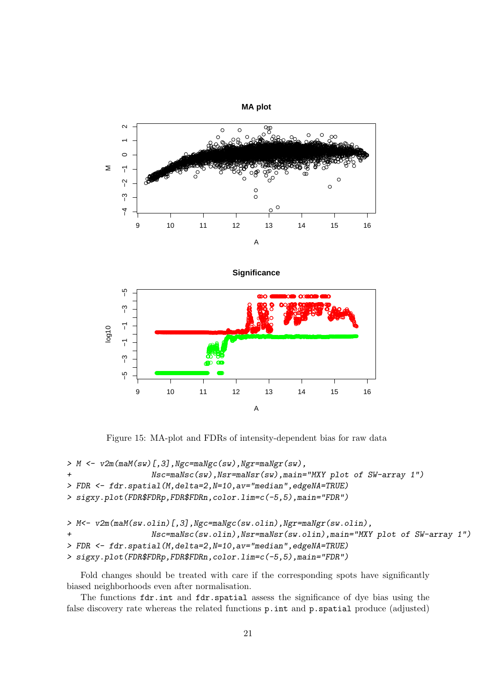

Significance



Figure 15: MA-plot and FDRs of intensity-dependent bias for raw data

```
> M <- v2m(maM(sw)[,3], Ngc=maNgc(sw), Ngr=maNgr(sw),
                  Nsc=maNsc(sw), Nsr=maNsr(sw), main="MXY plot of SW-array 1")
> FDR <- fdr.spatial(M,delta=2,N=10,av="median",edgeNA=TRUE)
> sigxy.plot(FDR$FDRp,FDR$FDRn,color.lim=c(-5,5),main="FDR")
> M<- v2m(maM(sw.olin)[,3], Ngc=maNgc(sw.olin), Ngr=maNgr(sw.olin),
\overline{1}Nsc=maNsc(sw.olin), Nsr=maNsr(sw.olin), main="MXY plot of SW-array 1")
> FDR <- fdr.spatial(M,delta=2,N=10,av="median",edgeNA=TRUE)
> sigxy.plot(FDR$FDRp,FDR$FDRn,color.lim=c(-5,5),main="FDR")
```
Fold changes should be treated with care if the corresponding spots have significantly biased neighborhoods even after normalisation.

The functions fdr.int and fdr.spatial assess the significance of dye bias using the false discovery rate whereas the related functions p.int and p.spatial produce (adjusted)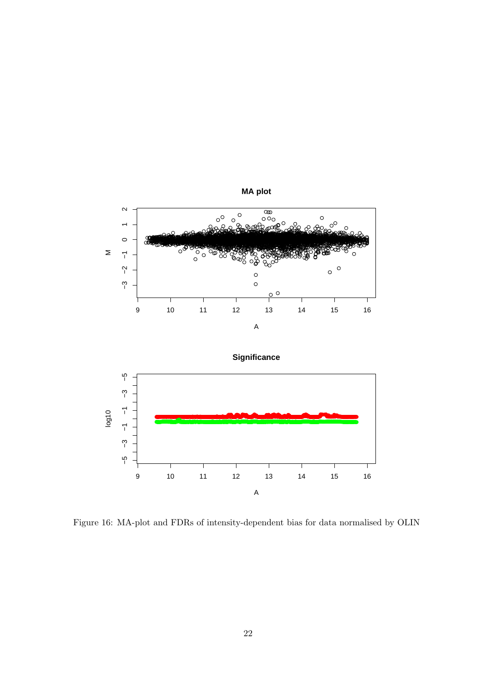

Figure 16: MA-plot and FDRs of intensity-dependent bias for data normalised by OLIN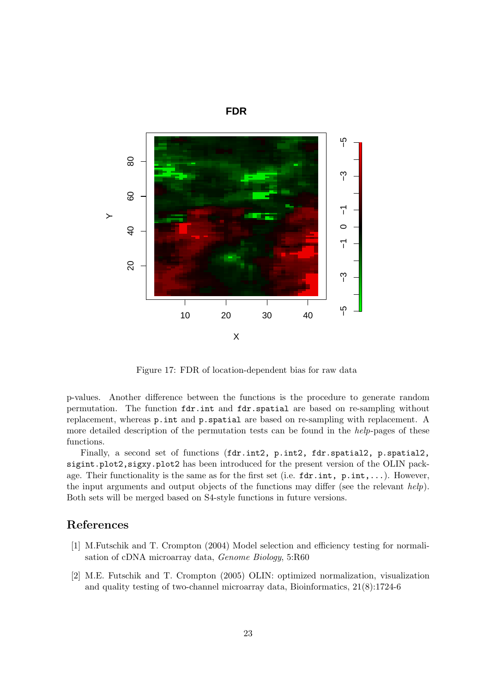

**FDR**

Figure 17: FDR of location-dependent bias for raw data

p-values. Another difference between the functions is the procedure to generate random permutation. The function fdr.int and fdr.spatial are based on re-sampling without replacement, whereas p.int and p.spatial are based on re-sampling with replacement. A more detailed description of the permutation tests can be found in the *help*-pages of these functions.

Finally, a second set of functions (fdr.int2, p.int2, fdr.spatial2, p.spatial2, sigint.plot2,sigxy.plot2 has been introduced for the present version of the OLIN package. Their functionality is the same as for the first set (i.e.  $fdr.int, p.int, \ldots$ ). However, the input arguments and output objects of the functions may differ (see the relevant  $help$ ). Both sets will be merged based on S4-style functions in future versions.

### References

- [1] M.Futschik and T. Crompton (2004) Model selection and efficiency testing for normalisation of cDNA microarray data, Genome Biology, 5:R60
- [2] M.E. Futschik and T. Crompton (2005) OLIN: optimized normalization, visualization and quality testing of two-channel microarray data, Bioinformatics, 21(8):1724-6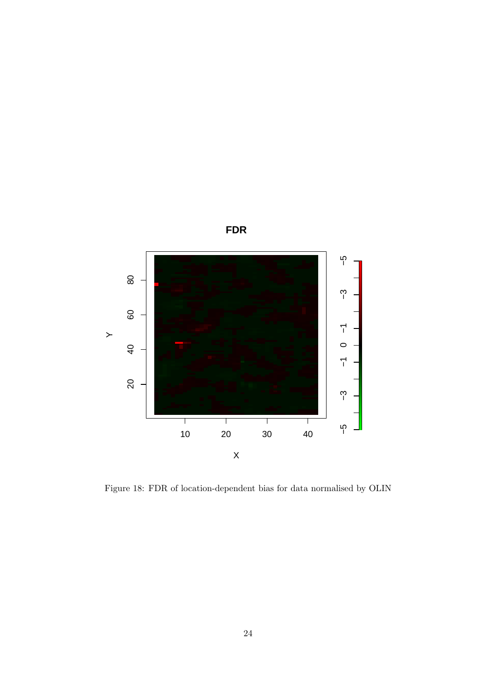

Figure 18: FDR of location-dependent bias for data normalised by OLIN